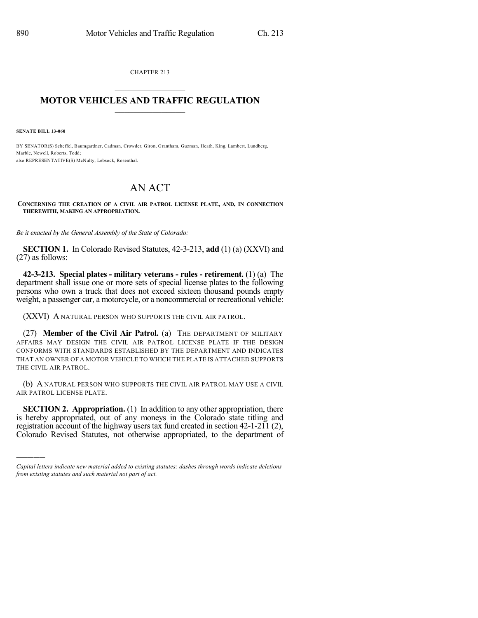CHAPTER 213  $\overline{\phantom{a}}$  . The set of the set of the set of the set of the set of the set of the set of the set of the set of the set of the set of the set of the set of the set of the set of the set of the set of the set of the set o

## **MOTOR VEHICLES AND TRAFFIC REGULATION**  $\frac{1}{2}$  ,  $\frac{1}{2}$  ,  $\frac{1}{2}$  ,  $\frac{1}{2}$  ,  $\frac{1}{2}$  ,  $\frac{1}{2}$  ,  $\frac{1}{2}$

**SENATE BILL 13-060**

)))))

BY SENATOR(S) Scheffel, Baumgardner, Cadman, Crowder, Giron, Grantham, Guzman, Heath, King, Lambert, Lundberg, Marble, Newell, Roberts, Todd; also REPRESENTATIVE(S) McNulty, Lebsock, Rosenthal.

## AN ACT

**CONCERNING THE CREATION OF A CIVIL AIR PATROL LICENSE PLATE, AND, IN CONNECTION THEREWITH, MAKING AN APPROPRIATION.**

*Be it enacted by the General Assembly of the State of Colorado:*

**SECTION 1.** In Colorado Revised Statutes, 42-3-213, **add** (1) (a) (XXVI) and (27) as follows:

**42-3-213. Special plates - military veterans - rules - retirement.** (1) (a) The department shall issue one or more sets of special license plates to the following persons who own a truck that does not exceed sixteen thousand pounds empty weight, a passenger car, a motorcycle, or a noncommercial or recreational vehicle:

(XXVI) A NATURAL PERSON WHO SUPPORTS THE CIVIL AIR PATROL.

(27) **Member of the Civil Air Patrol.** (a) THE DEPARTMENT OF MILITARY AFFAIRS MAY DESIGN THE CIVIL AIR PATROL LICENSE PLATE IF THE DESIGN CONFORMS WITH STANDARDS ESTABLISHED BY THE DEPARTMENT AND INDICATES THAT AN OWNER OF A MOTOR VEHICLE TO WHICH THE PLATE IS ATTACHED SUPPORTS THE CIVIL AIR PATROL.

(b) A NATURAL PERSON WHO SUPPORTS THE CIVIL AIR PATROL MAY USE A CIVIL AIR PATROL LICENSE PLATE.

**SECTION 2. Appropriation.** (1) In addition to any other appropriation, there is hereby appropriated, out of any moneys in the Colorado state titling and registration account of the highway users tax fund created in section 42-1-211 (2), Colorado Revised Statutes, not otherwise appropriated, to the department of

*Capital letters indicate new material added to existing statutes; dashes through words indicate deletions from existing statutes and such material not part of act.*